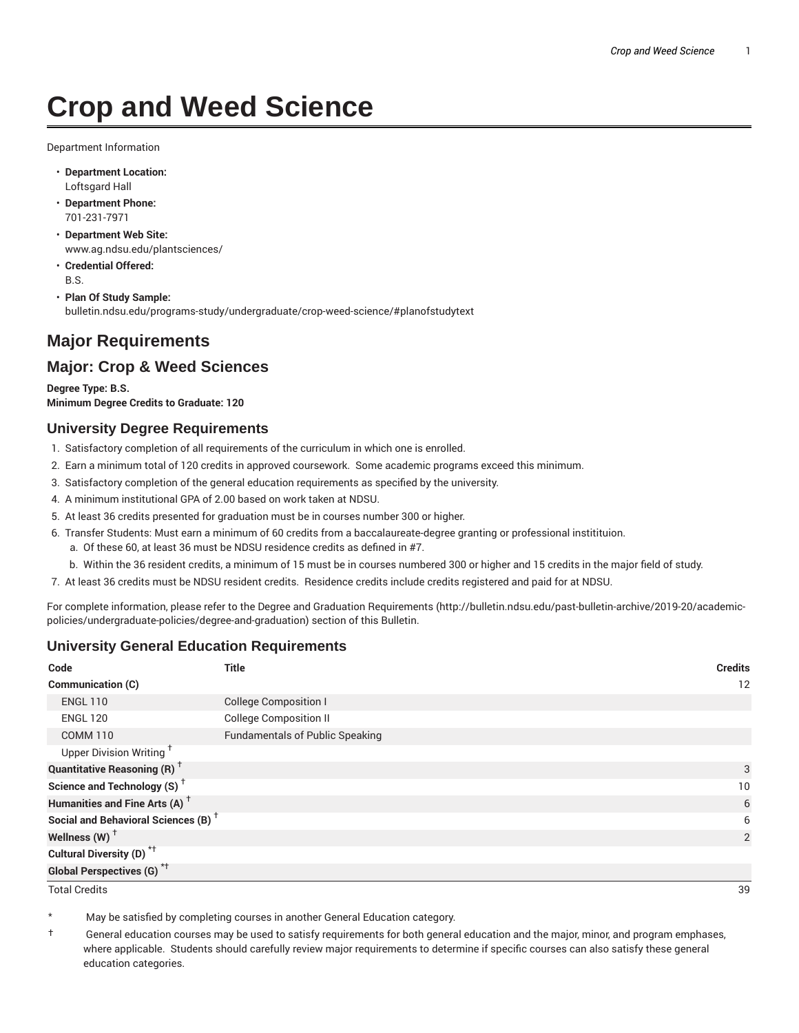# **Crop and Weed Science**

Department Information

- **Department Location:** Loftsgard Hall
- **Department Phone:** 701-231-7971
- **Department Web Site:** www.ag.ndsu.edu/plantsciences/
- **Credential Offered:** B.S.
- **Plan Of Study Sample:** bulletin.ndsu.edu/programs-study/undergraduate/crop-weed-science/#planofstudytext

# **Major Requirements**

# **Major: Crop & Weed Sciences**

**Degree Type: B.S. Minimum Degree Credits to Graduate: 120**

## **University Degree Requirements**

- 1. Satisfactory completion of all requirements of the curriculum in which one is enrolled.
- 2. Earn a minimum total of 120 credits in approved coursework. Some academic programs exceed this minimum.
- 3. Satisfactory completion of the general education requirements as specified by the university.
- 4. A minimum institutional GPA of 2.00 based on work taken at NDSU.
- 5. At least 36 credits presented for graduation must be in courses number 300 or higher.
- 6. Transfer Students: Must earn a minimum of 60 credits from a baccalaureate-degree granting or professional institituion.
	- a. Of these 60, at least 36 must be NDSU residence credits as defined in #7.
	- b. Within the 36 resident credits, a minimum of 15 must be in courses numbered 300 or higher and 15 credits in the major field of study.
- 7. At least 36 credits must be NDSU resident credits. Residence credits include credits registered and paid for at NDSU.

For complete information, please refer to the Degree and Graduation Requirements (http://bulletin.ndsu.edu/past-bulletin-archive/2019-20/academicpolicies/undergraduate-policies/degree-and-graduation) section of this Bulletin.

# **University General Education Requirements**

| Code                                            | <b>Title</b>                           | <b>Credits</b>  |
|-------------------------------------------------|----------------------------------------|-----------------|
| <b>Communication (C)</b>                        |                                        | 12              |
| <b>ENGL 110</b>                                 | <b>College Composition I</b>           |                 |
| <b>ENGL 120</b>                                 | <b>College Composition II</b>          |                 |
| <b>COMM 110</b>                                 | <b>Fundamentals of Public Speaking</b> |                 |
| Upper Division Writing <sup>+</sup>             |                                        |                 |
| <b>Quantitative Reasoning (R)</b> <sup>†</sup>  |                                        | 3               |
| Science and Technology (S) <sup>+</sup>         |                                        | 10 <sup>°</sup> |
| Humanities and Fine Arts (A) <sup>+</sup>       |                                        | 6               |
| Social and Behavioral Sciences (B) <sup>+</sup> |                                        | 6               |
| Wellness $(W)$ <sup>+</sup>                     |                                        | 2               |
| Cultural Diversity (D) <sup>*†</sup>            |                                        |                 |
| <b>Global Perspectives (G)<sup>*†</sup></b>     |                                        |                 |

Total Credits 39

May be satisfied by completing courses in another General Education category.

† General education courses may be used to satisfy requirements for both general education and the major, minor, and program emphases, where applicable. Students should carefully review major requirements to determine if specific courses can also satisfy these general education categories.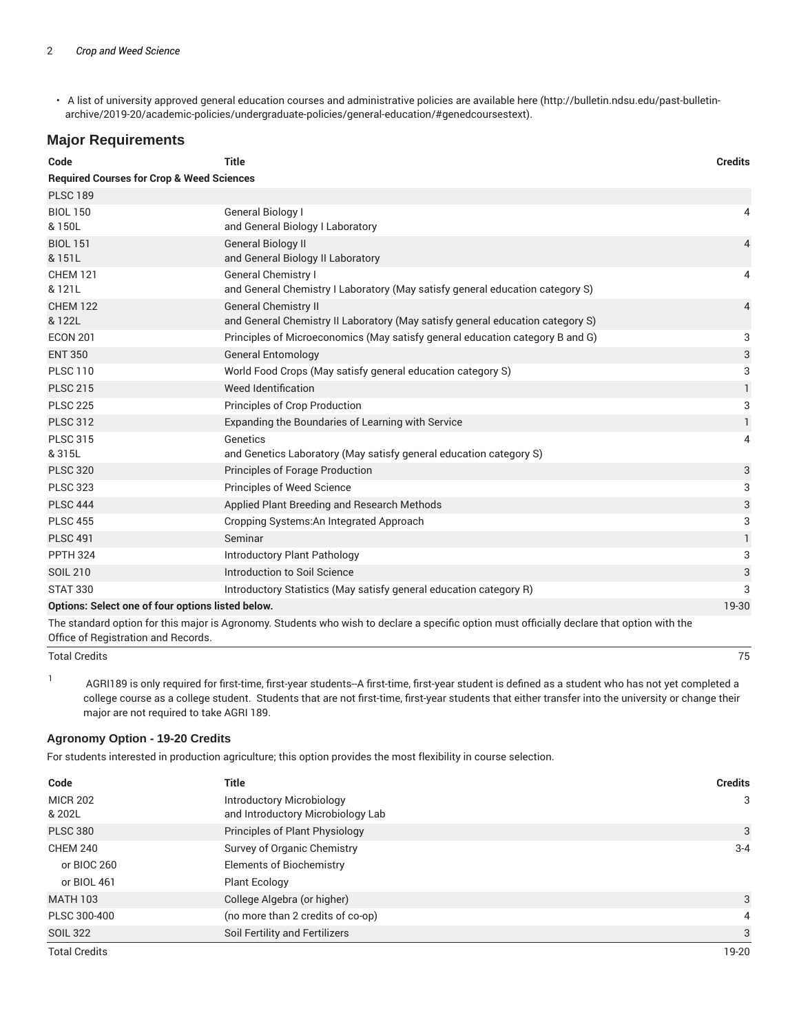• A list of university approved general education courses and administrative policies are available here (http://bulletin.ndsu.edu/past-bulletinarchive/2019-20/academic-policies/undergraduate-policies/general-education/#genedcoursestext).

## **Major Requirements**

| Code                                                 | <b>Title</b>                                                                                                                                | <b>Credits</b> |
|------------------------------------------------------|---------------------------------------------------------------------------------------------------------------------------------------------|----------------|
| <b>Required Courses for Crop &amp; Weed Sciences</b> |                                                                                                                                             |                |
| <b>PLSC 189</b>                                      |                                                                                                                                             |                |
| <b>BIOL 150</b><br>& 150L                            | General Biology I<br>and General Biology I Laboratory                                                                                       | 4              |
| <b>BIOL 151</b><br>& 151L                            | <b>General Biology II</b><br>and General Biology II Laboratory                                                                              | $\overline{4}$ |
| <b>CHEM 121</b><br>& 121L                            | General Chemistry I<br>and General Chemistry I Laboratory (May satisfy general education category S)                                        | 4              |
| <b>CHEM 122</b><br>& 122L                            | <b>General Chemistry II</b><br>and General Chemistry II Laboratory (May satisfy general education category S)                               | $\overline{4}$ |
| <b>ECON 201</b>                                      | Principles of Microeconomics (May satisfy general education category B and G)                                                               | 3              |
| <b>ENT 350</b>                                       | <b>General Entomology</b>                                                                                                                   | 3              |
| <b>PLSC 110</b>                                      | World Food Crops (May satisfy general education category S)                                                                                 | 3              |
| <b>PLSC 215</b>                                      | Weed Identification                                                                                                                         | 1              |
| <b>PLSC 225</b>                                      | Principles of Crop Production                                                                                                               | 3              |
| <b>PLSC 312</b>                                      | Expanding the Boundaries of Learning with Service                                                                                           | 1              |
| <b>PLSC 315</b><br>& 315L                            | Genetics<br>and Genetics Laboratory (May satisfy general education category S)                                                              | 4              |
| <b>PLSC 320</b>                                      | Principles of Forage Production                                                                                                             | 3              |
| <b>PLSC 323</b>                                      | Principles of Weed Science                                                                                                                  | 3              |
| <b>PLSC 444</b>                                      | Applied Plant Breeding and Research Methods                                                                                                 | 3              |
| <b>PLSC 455</b>                                      | Cropping Systems: An Integrated Approach                                                                                                    | 3              |
| <b>PLSC 491</b>                                      | Seminar                                                                                                                                     | 1              |
| <b>PPTH 324</b>                                      | Introductory Plant Pathology                                                                                                                | 3              |
| <b>SOIL 210</b>                                      | Introduction to Soil Science                                                                                                                | 3              |
| <b>STAT 330</b>                                      | Introductory Statistics (May satisfy general education category R)                                                                          | 3              |
| Options: Select one of four options listed below.    |                                                                                                                                             | 19-30          |
|                                                      | The standard option for this major is Agronomy. Students who wish to declare a specific option must officially declare that option with the |                |

Office of Registration and Records.

Total Credits 75

1 AGRI189 is only required for first-time, first-year students--A first-time, first-year student is defined as a student who has not yet completed a college course as a college student. Students that are not first-time, first-year students that either transfer into the university or change their major are not required to take AGRI 189.

#### **Agronomy Option - 19-20 Credits**

For students interested in production agriculture; this option provides the most flexibility in course selection.

| Code                 | <b>Title</b>                      | <b>Credits</b> |
|----------------------|-----------------------------------|----------------|
| <b>MICR 202</b>      | <b>Introductory Microbiology</b>  | 3              |
| & 202L               | and Introductory Microbiology Lab |                |
| <b>PLSC 380</b>      | Principles of Plant Physiology    | 3              |
| <b>CHEM 240</b>      | Survey of Organic Chemistry       | $3 - 4$        |
| or BIOC 260          | <b>Elements of Biochemistry</b>   |                |
| or BIOL 461          | Plant Ecology                     |                |
| <b>MATH 103</b>      | College Algebra (or higher)       | 3              |
| PLSC 300-400         | (no more than 2 credits of co-op) | $\overline{4}$ |
| <b>SOIL 322</b>      | Soil Fertility and Fertilizers    | 3              |
| <b>Total Credits</b> |                                   | 19-20          |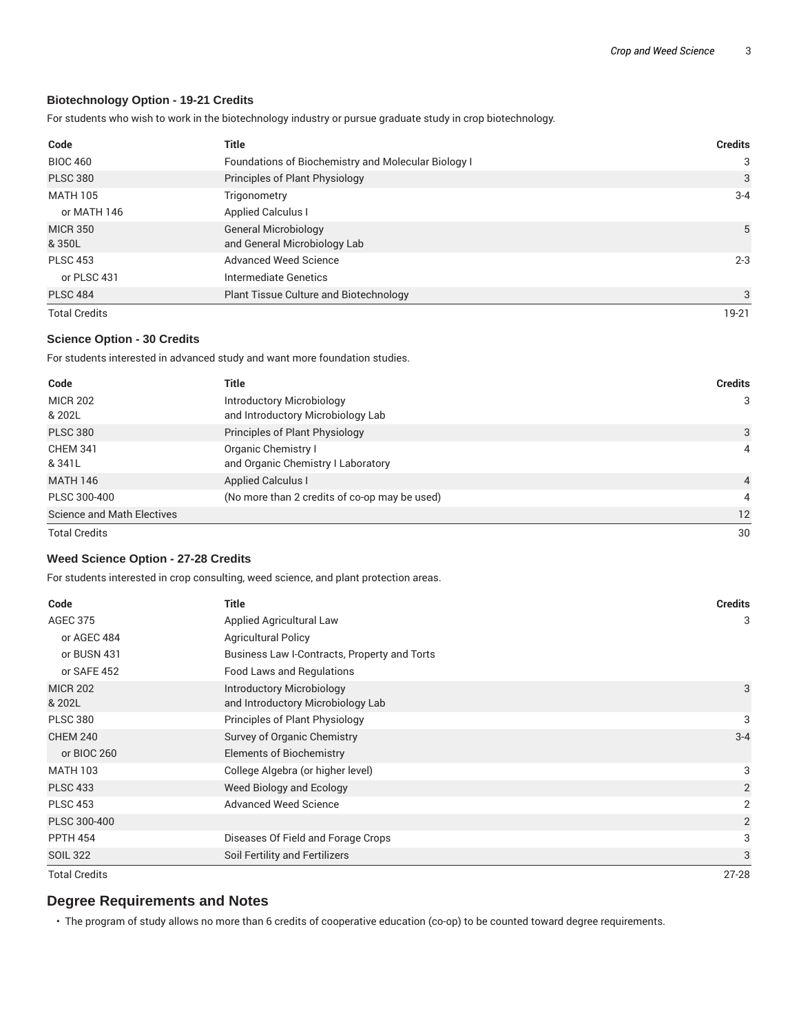#### **Biotechnology Option - 19-21 Credits**

For students who wish to work in the biotechnology industry or pursue graduate study in crop biotechnology.

| Code                      | <b>Title</b>                                                | <b>Credits</b> |
|---------------------------|-------------------------------------------------------------|----------------|
| <b>BIOC 460</b>           | Foundations of Biochemistry and Molecular Biology I         | 3              |
| <b>PLSC 380</b>           | Principles of Plant Physiology                              | 3              |
| <b>MATH 105</b>           | Trigonometry                                                | $3 - 4$        |
| or MATH 146               | <b>Applied Calculus I</b>                                   |                |
| <b>MICR 350</b><br>& 350L | <b>General Microbiology</b><br>and General Microbiology Lab | 5              |
| <b>PLSC 453</b>           | Advanced Weed Science                                       | $2 - 3$        |
| or PLSC 431               | Intermediate Genetics                                       |                |
| <b>PLSC 484</b>           | Plant Tissue Culture and Biotechnology                      | 3              |
| <b>Total Credits</b>      |                                                             | 19-21          |

#### **Science Option - 30 Credits**

For students interested in advanced study and want more foundation studies.

| Code                              | <b>Title</b>                                                   | <b>Credits</b> |
|-----------------------------------|----------------------------------------------------------------|----------------|
| <b>MICR 202</b><br>& 202L         | Introductory Microbiology<br>and Introductory Microbiology Lab | 3              |
| <b>PLSC 380</b>                   | Principles of Plant Physiology                                 | 3              |
| <b>CHEM 341</b><br>& 341L         | Organic Chemistry I<br>and Organic Chemistry I Laboratory      | 4              |
| <b>MATH 146</b>                   | <b>Applied Calculus I</b>                                      | $\overline{4}$ |
| PLSC 300-400                      | (No more than 2 credits of co-op may be used)                  | 4              |
| <b>Science and Math Electives</b> |                                                                | 12             |
| <b>Total Credits</b>              |                                                                | 30             |

#### **Weed Science Option - 27-28 Credits**

For students interested in crop consulting, weed science, and plant protection areas.

| Code                      | <b>Title</b>                                                   | <b>Credits</b> |
|---------------------------|----------------------------------------------------------------|----------------|
| <b>AGEC 375</b>           | Applied Agricultural Law                                       | 3              |
| or AGEC 484               | <b>Agricultural Policy</b>                                     |                |
| or BUSN 431               | Business Law I-Contracts, Property and Torts                   |                |
| or SAFE 452               | <b>Food Laws and Regulations</b>                               |                |
| <b>MICR 202</b><br>& 202L | Introductory Microbiology<br>and Introductory Microbiology Lab | 3              |
| <b>PLSC 380</b>           | Principles of Plant Physiology                                 | 3              |
| <b>CHEM 240</b>           | Survey of Organic Chemistry                                    | $3 - 4$        |
| or BIOC 260               | <b>Elements of Biochemistry</b>                                |                |
| <b>MATH 103</b>           | College Algebra (or higher level)                              | 3              |
| <b>PLSC 433</b>           | Weed Biology and Ecology                                       | 2              |
| <b>PLSC 453</b>           | <b>Advanced Weed Science</b>                                   | 2              |
| PLSC 300-400              |                                                                | 2              |
| <b>PPTH 454</b>           | Diseases Of Field and Forage Crops                             | 3              |
| <b>SOIL 322</b>           | Soil Fertility and Fertilizers                                 | 3              |
| <b>Total Credits</b>      |                                                                | $27 - 28$      |

# **Degree Requirements and Notes**

• The program of study allows no more than 6 credits of cooperative education (co-op) to be counted toward degree requirements.